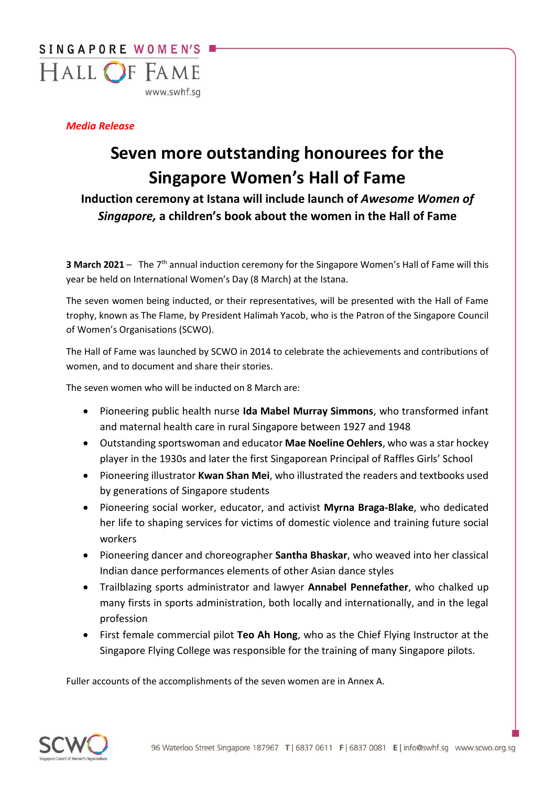

## *Media Release*

## **Seven more outstanding honourees for the Singapore Women's Hall of Fame**

**Induction ceremony at Istana will include launch of** *Awesome Women of Singapore,* **a children's book about the women in the Hall of Fame**

**3 March 2021** - The 7<sup>th</sup> annual induction ceremony for the Singapore Women's Hall of Fame will this year be held on International Women's Day (8 March) at the Istana.

The seven women being inducted, or their representatives, will be presented with the Hall of Fame trophy, known as The Flame, by President Halimah Yacob, who is the Patron of the Singapore Council of Women's Organisations (SCWO).

The Hall of Fame was launched by SCWO in 2014 to celebrate the achievements and contributions of women, and to document and share their stories.

The seven women who will be inducted on 8 March are:

- Pioneering public health nurse **Ida Mabel Murray Simmons**, who transformed infant and maternal health care in rural Singapore between 1927 and 1948
- Outstanding sportswoman and educator **Mae Noeline Oehlers**, who was a star hockey player in the 1930s and later the first Singaporean Principal of Raffles Girls' School
- Pioneering illustrator **Kwan Shan Mei**, who illustrated the readers and textbooks used by generations of Singapore students
- Pioneering social worker, educator, and activist **Myrna Braga-Blake**, who dedicated her life to shaping services for victims of domestic violence and training future social workers
- Pioneering dancer and choreographer **Santha Bhaskar**, who weaved into her classical Indian dance performances elements of other Asian dance styles
- Trailblazing sports administrator and lawyer **Annabel Pennefather**, who chalked up many firsts in sports administration, both locally and internationally, and in the legal profession
- First female commercial pilot **Teo Ah Hong**, who as the Chief Flying Instructor at the Singapore Flying College was responsible for the training of many Singapore pilots.

Fuller accounts of the accomplishments of the seven women are in Annex A.

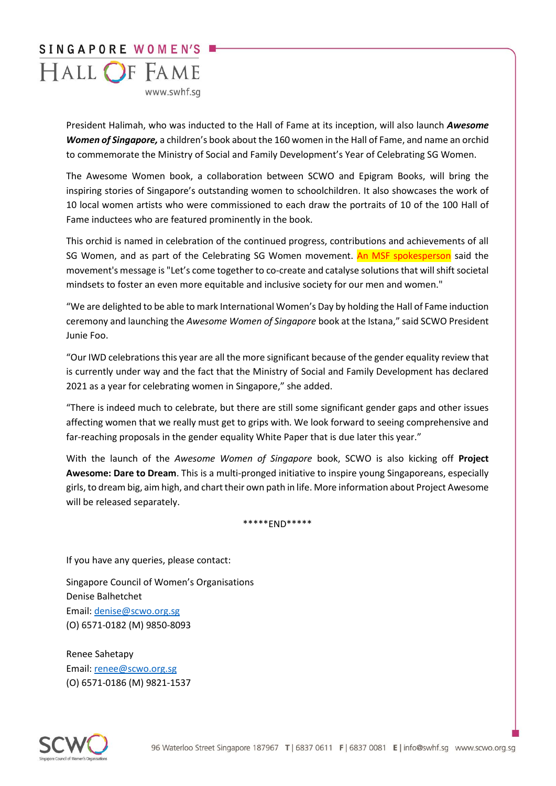

President Halimah, who was inducted to the Hall of Fame at its inception, will also launch *Awesome Women of Singapore,* a children's book about the 160 women in the Hall of Fame, and name an orchid to commemorate the Ministry of Social and Family Development's Year of Celebrating SG Women.

The Awesome Women book, a collaboration between SCWO and Epigram Books, will bring the inspiring stories of Singapore's outstanding women to schoolchildren. It also showcases the work of 10 local women artists who were commissioned to each draw the portraits of 10 of the 100 Hall of Fame inductees who are featured prominently in the book.

This orchid is named in celebration of the continued progress, contributions and achievements of all SG Women, and as part of the Celebrating SG Women movement. An MSF spokesperson said the movement's message is "Let's come together to co-create and catalyse solutions that will shift societal mindsets to foster an even more equitable and inclusive society for our men and women."

"We are delighted to be able to mark International Women's Day by holding the Hall of Fame induction ceremony and launching the *Awesome Women of Singapore* book at the Istana," said SCWO President Junie Foo.

"Our IWD celebrations this year are all the more significant because of the gender equality review that is currently under way and the fact that the Ministry of Social and Family Development has declared 2021 as a year for celebrating women in Singapore," she added.

"There is indeed much to celebrate, but there are still some significant gender gaps and other issues affecting women that we really must get to grips with. We look forward to seeing comprehensive and far-reaching proposals in the gender equality White Paper that is due later this year."

With the launch of the *Awesome Women of Singapore* book, SCWO is also kicking off **Project Awesome: Dare to Dream**. This is a multi-pronged initiative to inspire young Singaporeans, especially girls, to dream big, aim high, and chart their own path in life. More information about Project Awesome will be released separately.

\*\*\*\*\*END\*\*\*\*\*

If you have any queries, please contact:

Singapore Council of Women's Organisations Denise Balhetchet Email: [denise@scwo.org.sg](mailto:denise@scwo.org.sg) (O) 6571-0182 (M) 9850-8093

Renee Sahetapy Email: [renee@scwo.org.sg](mailto:renee@scwo.org.sg) (O) 6571-0186 (M) 9821-1537